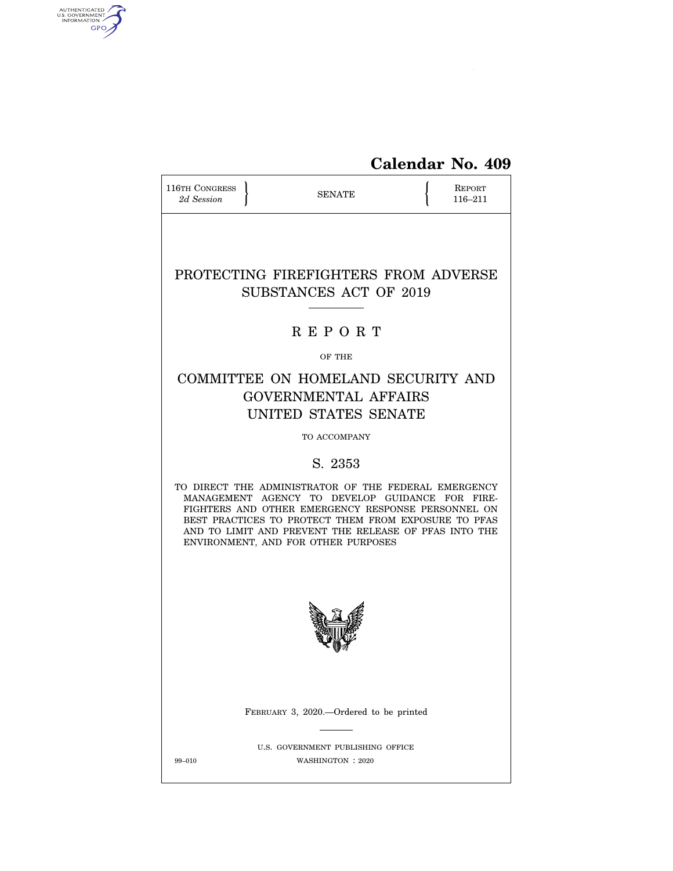

| 116TH CONGRESS<br>2d Session | <b>SENATE</b>                                                                                                                                                                                                                                                                                                         |  | <b>REPORT</b><br>116-211 |
|------------------------------|-----------------------------------------------------------------------------------------------------------------------------------------------------------------------------------------------------------------------------------------------------------------------------------------------------------------------|--|--------------------------|
|                              | PROTECTING FIREFIGHTERS FROM ADVERSE<br>SUBSTANCES ACT OF 2019                                                                                                                                                                                                                                                        |  |                          |
|                              | <b>REPORT</b>                                                                                                                                                                                                                                                                                                         |  |                          |
|                              | OF THE                                                                                                                                                                                                                                                                                                                |  |                          |
|                              | COMMITTEE ON HOMELAND SECURITY AND<br><b>GOVERNMENTAL AFFAIRS</b><br>UNITED STATES SENATE                                                                                                                                                                                                                             |  |                          |
|                              | TO ACCOMPANY                                                                                                                                                                                                                                                                                                          |  |                          |
|                              | S. 2353                                                                                                                                                                                                                                                                                                               |  |                          |
|                              | TO DIRECT THE ADMINISTRATOR OF THE FEDERAL EMERGENCY<br>MANAGEMENT AGENCY TO DEVELOP GUIDANCE FOR FIRE-<br>FIGHTERS AND OTHER EMERGENCY RESPONSE PERSONNEL ON<br>BEST PRACTICES TO PROTECT THEM FROM EXPOSURE TO PFAS<br>AND TO LIMIT AND PREVENT THE RELEASE OF PFAS INTO THE<br>ENVIRONMENT, AND FOR OTHER PURPOSES |  |                          |
|                              |                                                                                                                                                                                                                                                                                                                       |  |                          |
|                              | FEBRUARY 3, 2020.—Ordered to be printed                                                                                                                                                                                                                                                                               |  |                          |
| 99-010                       | U.S. GOVERNMENT PUBLISHING OFFICE<br>WASHINGTON : 2020                                                                                                                                                                                                                                                                |  |                          |

AUTHENTICATED

 $\widehat{\mathbf{c}}$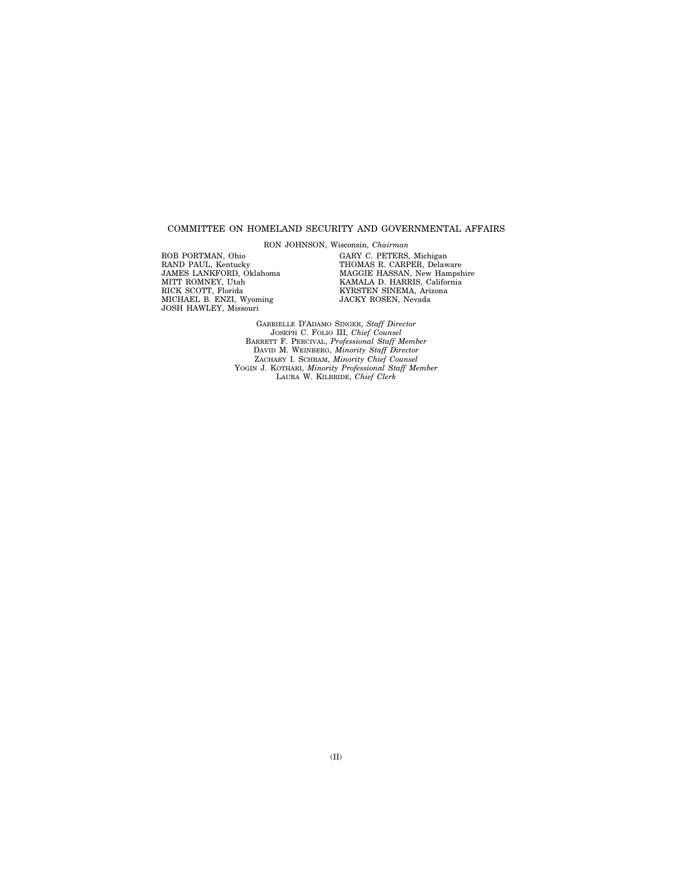### COMMITTEE ON HOMELAND SECURITY AND GOVERNMENTAL AFFAIRS

RON JOHNSON, Wisconsin, *Chairman* 

ROB PORTMAN, Ohio RAND PAUL, Kentucky JAMES LANKFORD, Oklahoma MITT ROMNEY, Utah RICK SCOTT, Florida MICHAEL B. ENZI, Wyoming JOSH HAWLEY, Missouri

GARY C. PETERS, Michigan THOMAS R. CARPER, Delaware MAGGIE HASSAN, New Hampshire KAMALA D. HARRIS, California KYRSTEN SINEMA, Arizona JACKY ROSEN, Nevada

GABRIELLE D'ADAMO SINGER, *Staff Director*  JOSEPH C. FOLIO III, *Chief Counsel*  BARRETT F. PERCIVAL, *Professional Staff Member*  DAVID M. WEINBERG, *Minority Staff Director*  ZACHARY I. SCHRAM, *Minority Chief Counsel*  YOGIN J. KOTHARI, *Minority Professional Staff Member*  LAURA W. KILBRIDE, *Chief Clerk*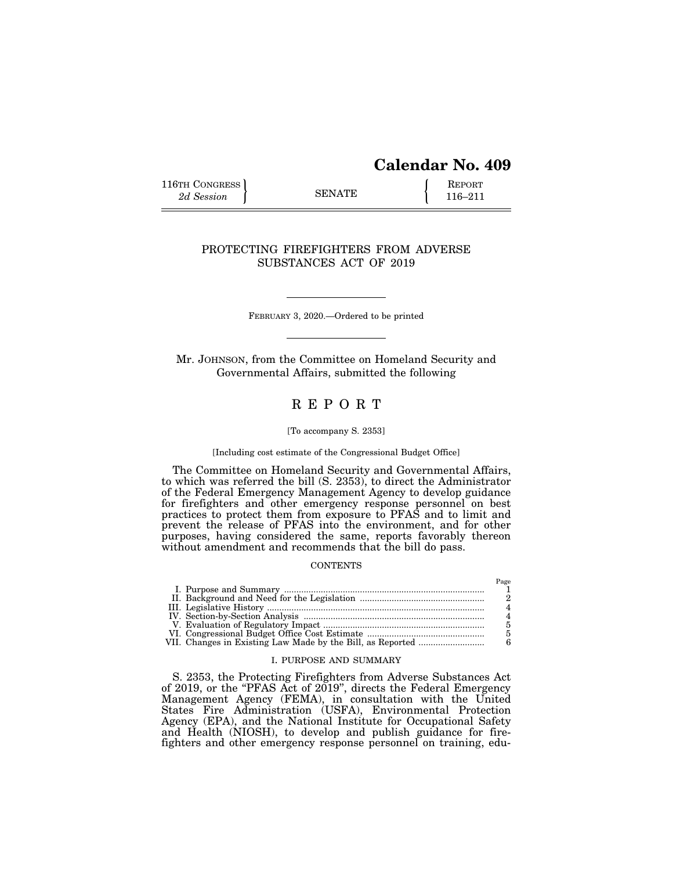# **Calendar No. 409**

116TH CONGRESS **REPORT** 2d Session **116–211** 

### PROTECTING FIREFIGHTERS FROM ADVERSE SUBSTANCES ACT OF 2019

FEBRUARY 3, 2020.—Ordered to be printed

Mr. JOHNSON, from the Committee on Homeland Security and Governmental Affairs, submitted the following

## R E P O R T

#### [To accompany S. 2353]

### [Including cost estimate of the Congressional Budget Office]

The Committee on Homeland Security and Governmental Affairs, to which was referred the bill (S. 2353), to direct the Administrator of the Federal Emergency Management Agency to develop guidance for firefighters and other emergency response personnel on best practices to protect them from exposure to PFAS and to limit and prevent the release of PFAS into the environment, and for other purposes, having considered the same, reports favorably thereon without amendment and recommends that the bill do pass.

#### **CONTENTS**

### I. PURPOSE AND SUMMARY

S. 2353, the Protecting Firefighters from Adverse Substances Act of 2019, or the ''PFAS Act of 2019'', directs the Federal Emergency Management Agency (FEMA), in consultation with the United States Fire Administration (USFA), Environmental Protection Agency (EPA), and the National Institute for Occupational Safety and Health (NIOSH), to develop and publish guidance for firefighters and other emergency response personnel on training, edu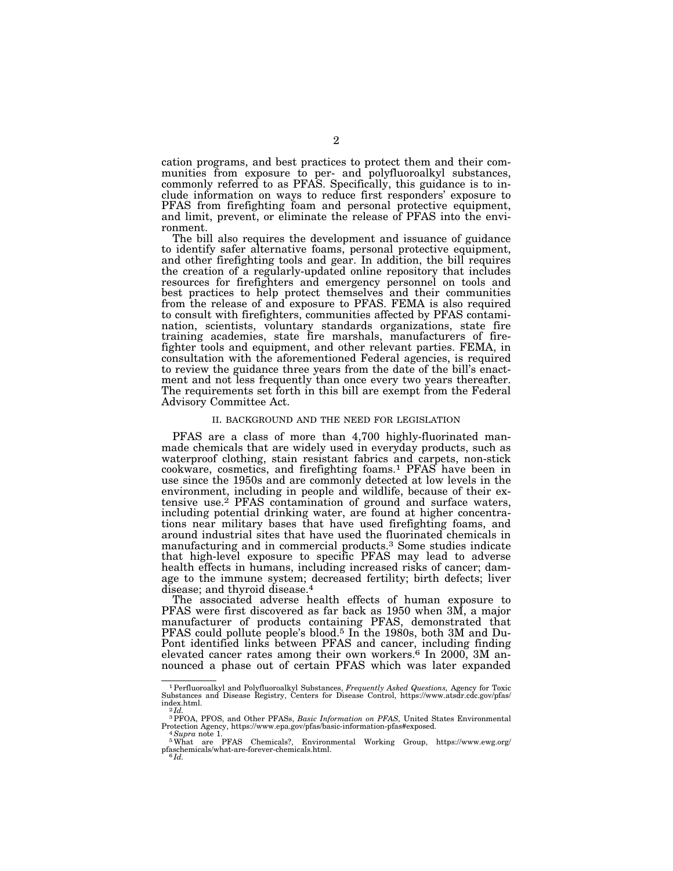cation programs, and best practices to protect them and their communities from exposure to per- and polyfluoroalkyl substances, commonly referred to as PFAS. Specifically, this guidance is to include information on ways to reduce first responders' exposure to PFAS from firefighting foam and personal protective equipment, and limit, prevent, or eliminate the release of PFAS into the environment.

The bill also requires the development and issuance of guidance to identify safer alternative foams, personal protective equipment, and other firefighting tools and gear. In addition, the bill requires the creation of a regularly-updated online repository that includes resources for firefighters and emergency personnel on tools and best practices to help protect themselves and their communities from the release of and exposure to PFAS. FEMA is also required to consult with firefighters, communities affected by PFAS contamination, scientists, voluntary standards organizations, state fire training academies, state fire marshals, manufacturers of firefighter tools and equipment, and other relevant parties. FEMA, in consultation with the aforementioned Federal agencies, is required to review the guidance three years from the date of the bill's enactment and not less frequently than once every two years thereafter. The requirements set forth in this bill are exempt from the Federal Advisory Committee Act.

#### II. BACKGROUND AND THE NEED FOR LEGISLATION

PFAS are a class of more than 4,700 highly-fluorinated manmade chemicals that are widely used in everyday products, such as waterproof clothing, stain resistant fabrics and carpets, non-stick cookware, cosmetics, and firefighting foams.1 PFAS have been in use since the 1950s and are commonly detected at low levels in the environment, including in people and wildlife, because of their extensive use.2 PFAS contamination of ground and surface waters, including potential drinking water, are found at higher concentrations near military bases that have used firefighting foams, and around industrial sites that have used the fluorinated chemicals in manufacturing and in commercial products.3 Some studies indicate that high-level exposure to specific PFAS may lead to adverse health effects in humans, including increased risks of cancer; damage to the immune system; decreased fertility; birth defects; liver disease; and thyroid disease.4

The associated adverse health effects of human exposure to PFAS were first discovered as far back as 1950 when 3M, a major manufacturer of products containing PFAS, demonstrated that PFAS could pollute people's blood.<sup>5</sup> In the 1980s, both 3M and Du-Pont identified links between PFAS and cancer, including finding elevated cancer rates among their own workers.<sup>6</sup> In 2000, 3M announced a phase out of certain PFAS which was later expanded

<sup>1</sup>Perfluoroalkyl and Polyfluoroalkyl Substances, *Frequently Asked Questions,* Agency for Toxic Substances and Disease Registry, Centers for Disease Control, https://www.atsdr.cdc.gov/pfas/  $\frac{index.html}{2 Id}$ .

<sup>&</sup>lt;sup>3</sup>PFOA, PFOS, and Other PFASs, *Basic Information on PFAS*, United States Environmental Protection Agency, https://www.epa.gov/pfas/basic-information-pfas#exposed. Protection Agency, https://www.epa.gov/pfas/basic-information-pfas#exposed. 4*Supra* note 1. 5What are PFAS Chemicals?, Environmental Working Group, https://www.ewg.org/

pfaschemicals/what-are-forever-chemicals.html. 6 *Id.*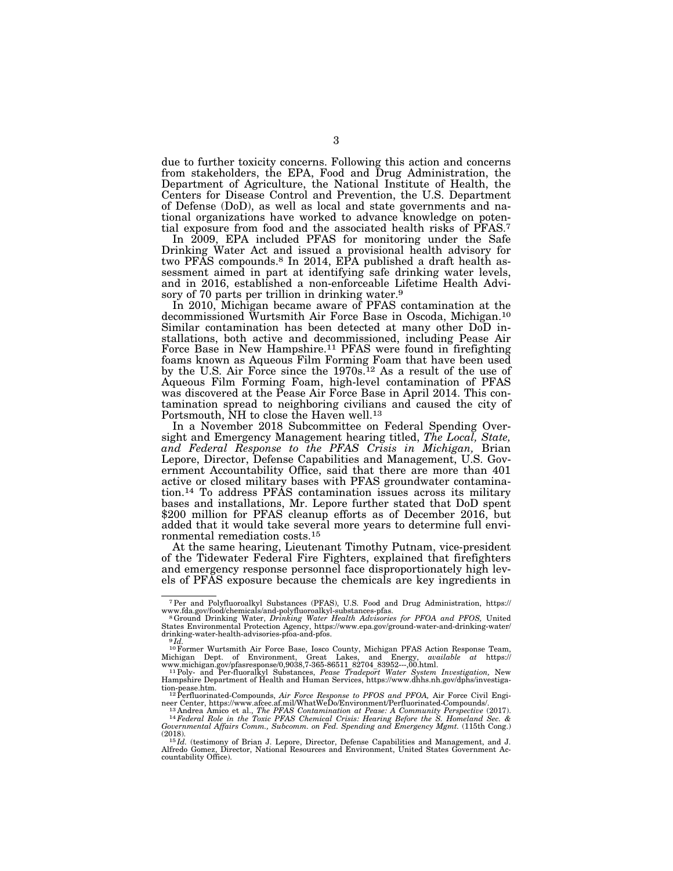due to further toxicity concerns. Following this action and concerns from stakeholders, the EPA, Food and Drug Administration, the Department of Agriculture, the National Institute of Health, the Centers for Disease Control and Prevention, the U.S. Department of Defense (DoD), as well as local and state governments and national organizations have worked to advance knowledge on potential exposure from food and the associated health risks of PFAS.7

In 2009, EPA included PFAS for monitoring under the Safe Drinking Water Act and issued a provisional health advisory for two PFAS compounds.8 In 2014, EPA published a draft health assessment aimed in part at identifying safe drinking water levels, and in 2016, established a non-enforceable Lifetime Health Advisory of 70 parts per trillion in drinking water.<sup>9</sup>

In 2010, Michigan became aware of PFAS contamination at the decommissioned Wurtsmith Air Force Base in Oscoda, Michigan.10 Similar contamination has been detected at many other DoD installations, both active and decommissioned, including Pease Air Force Base in New Hampshire.<sup>11</sup> PFAS were found in firefighting foams known as Aqueous Film Forming Foam that have been used by the U.S. Air Force since the 1970s.<sup>12</sup> As a result of the use of Aqueous Film Forming Foam, high-level contamination of PFAS was discovered at the Pease Air Force Base in April 2014. This contamination spread to neighboring civilians and caused the city of Portsmouth, NH to close the Haven well.13

In a November 2018 Subcommittee on Federal Spending Oversight and Emergency Management hearing titled, *The Local, State, and Federal Response to the PFAS Crisis in Michigan,* Brian Lepore, Director, Defense Capabilities and Management, U.S. Government Accountability Office, said that there are more than 401 active or closed military bases with PFAS groundwater contamination.14 To address PFAS contamination issues across its military bases and installations, Mr. Lepore further stated that DoD spent \$200 million for PFAS cleanup efforts as of December 2016, but added that it would take several more years to determine full environmental remediation costs.15

At the same hearing, Lieutenant Timothy Putnam, vice-president of the Tidewater Federal Fire Fighters, explained that firefighters and emergency response personnel face disproportionately high levels of PFAS exposure because the chemicals are key ingredients in

<sup>7</sup>Per and Polyfluoroalkyl Substances (PFAS), U.S. Food and Drug Administration, https:// www.fda.gov/food/chemicals/and-polyfluoroalkyl-substances-pfas. 8Ground Drinking Water, *Drinking Water Health Advisories for PFOA and PFOS,* United

States Environmental Protection Agency, https://www.epa.gov/ground-water-and-drinking-water/ drinking-water-health-advisories-pfoa-and-pfos. 9 *Id.* 

<sup>&</sup>lt;sup>10</sup> Former Wurtsmith Air Force Base, Iosco County, Michigan PFAS Action Response Team, Michigan Dept. of Environment, Great Lakes, and Energy, *available at* https://www.michigan.gov/pfasresponse/0,9038,7-365-86511 82704

tion-pease.htm. 12Perfluorinated-Compounds, *Air Force Response to PFOS and PFOA,* Air Force Civil Engi-

neer Center, https://www.afcec.af.mil/WhatWeDo/Environment/Perfluorinated-Compounds/.<br><sup>13</sup> Andrea Amico et al., *The PFAS Contamination at Pease: A Community Perspective (2017).*<br><sup>14</sup> Federal Role in the Toxic PFAS Chemica *Governmental Affairs Comm., Subcomm. on Fed. Spending and Emergency Mgmt.* (115th Cong.)<br>Governmental Affairs Comm., Subcomm. on Fed. Spending and Emergency Mgmt. (115th Cong.)

<sup>&</sup>lt;sup>15</sup>*Id.* (testimony of Brian J. Lepore, Director, Defense Capabilities and Management, and J. Alfredo Gomez, Director, National Resources and Environment, United States Government Ac-<br>countability Office).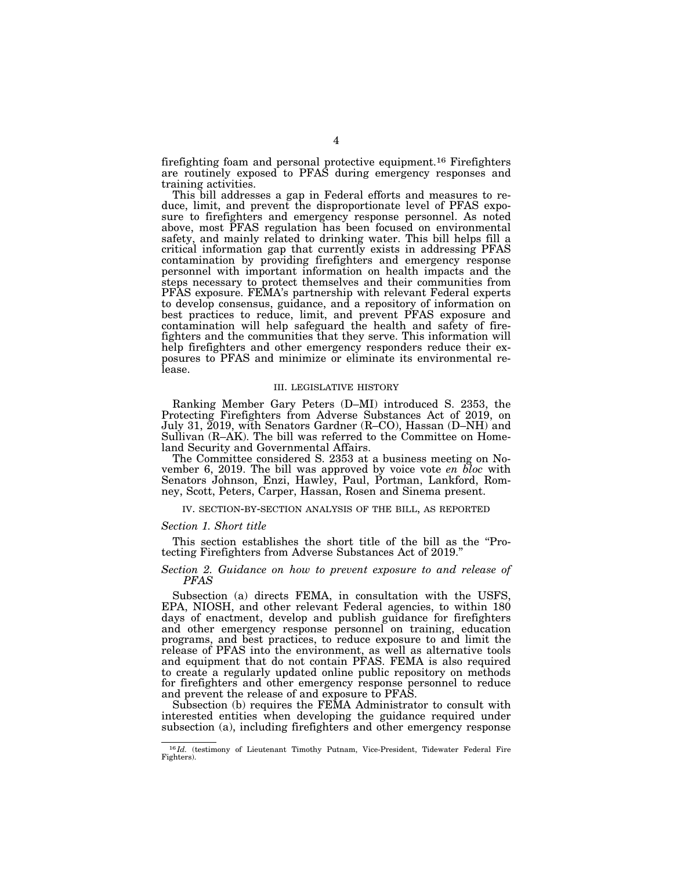firefighting foam and personal protective equipment.16 Firefighters are routinely exposed to PFAS during emergency responses and training activities.

This bill addresses a gap in Federal efforts and measures to reduce, limit, and prevent the disproportionate level of PFAS exposure to firefighters and emergency response personnel. As noted above, most PFAS regulation has been focused on environmental safety, and mainly related to drinking water. This bill helps fill a critical information gap that currently exists in addressing PFAS contamination by providing firefighters and emergency response personnel with important information on health impacts and the steps necessary to protect themselves and their communities from PFAS exposure. FEMA's partnership with relevant Federal experts to develop consensus, guidance, and a repository of information on best practices to reduce, limit, and prevent PFAS exposure and contamination will help safeguard the health and safety of firefighters and the communities that they serve. This information will help firefighters and other emergency responders reduce their exposures to PFAS and minimize or eliminate its environmental release.

#### III. LEGISLATIVE HISTORY

Ranking Member Gary Peters (D–MI) introduced S. 2353, the Protecting Firefighters from Adverse Substances Act of 2019, on July 31, 2019, with Senators Gardner (R–CO), Hassan (D–NH) and Sullivan (R–AK). The bill was referred to the Committee on Homeland Security and Governmental Affairs.

The Committee considered S. 2353 at a business meeting on November 6, 2019. The bill was approved by voice vote *en bloc* with Senators Johnson, Enzi, Hawley, Paul, Portman, Lankford, Romney, Scott, Peters, Carper, Hassan, Rosen and Sinema present.

IV. SECTION-BY-SECTION ANALYSIS OF THE BILL, AS REPORTED

#### *Section 1. Short title*

This section establishes the short title of the bill as the ''Protecting Firefighters from Adverse Substances Act of 2019.''

### *Section 2. Guidance on how to prevent exposure to and release of PFAS*

Subsection (a) directs FEMA, in consultation with the USFS, EPA, NIOSH, and other relevant Federal agencies, to within 180 days of enactment, develop and publish guidance for firefighters and other emergency response personnel on training, education programs, and best practices, to reduce exposure to and limit the release of PFAS into the environment, as well as alternative tools and equipment that do not contain PFAS. FEMA is also required to create a regularly updated online public repository on methods for firefighters and other emergency response personnel to reduce and prevent the release of and exposure to PFAS.

Subsection (b) requires the FEMA Administrator to consult with interested entities when developing the guidance required under subsection (a), including firefighters and other emergency response

<sup>&</sup>lt;sup>16</sup> *Id.* (testimony of Lieutenant Timothy Putnam, Vice-President, Tidewater Federal Fire Fighters).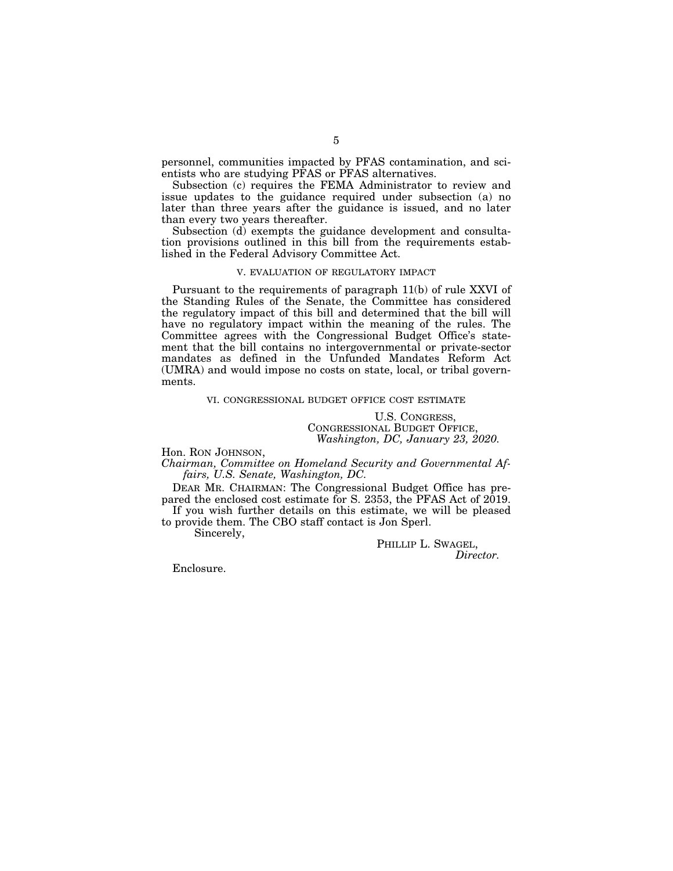personnel, communities impacted by PFAS contamination, and scientists who are studying PFAS or PFAS alternatives.

Subsection (c) requires the FEMA Administrator to review and issue updates to the guidance required under subsection (a) no later than three years after the guidance is issued, and no later than every two years thereafter.

Subsection (d) exempts the guidance development and consultation provisions outlined in this bill from the requirements established in the Federal Advisory Committee Act.

### V. EVALUATION OF REGULATORY IMPACT

Pursuant to the requirements of paragraph 11(b) of rule XXVI of the Standing Rules of the Senate, the Committee has considered the regulatory impact of this bill and determined that the bill will have no regulatory impact within the meaning of the rules. The Committee agrees with the Congressional Budget Office's statement that the bill contains no intergovernmental or private-sector mandates as defined in the Unfunded Mandates Reform Act (UMRA) and would impose no costs on state, local, or tribal governments.

#### VI. CONGRESSIONAL BUDGET OFFICE COST ESTIMATE

U.S. CONGRESS, CONGRESSIONAL BUDGET OFFICE, *Washington, DC, January 23, 2020.* 

Hon. RON JOHNSON,

*Chairman, Committee on Homeland Security and Governmental Affairs, U.S. Senate, Washington, DC.* 

DEAR MR. CHAIRMAN: The Congressional Budget Office has prepared the enclosed cost estimate for S. 2353, the PFAS Act of 2019. If you wish further details on this estimate, we will be pleased

to provide them. The CBO staff contact is Jon Sperl.

Sincerely,

PHILLIP L. SWAGEL, *Director.* 

Enclosure.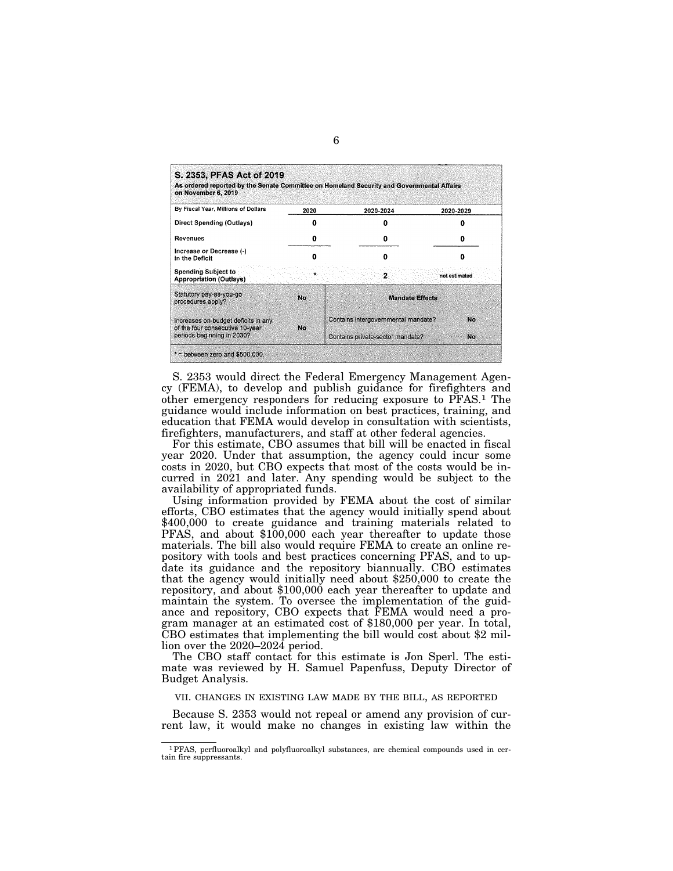| on November 6, 2019                                                    |      | As ordered reported by the Senate Committee on Homeland Security and Governmental Affairs |               |
|------------------------------------------------------------------------|------|-------------------------------------------------------------------------------------------|---------------|
| By Fiscal Year, Millions of Dollars                                    | 2020 | 2020-2024                                                                                 | 2020-2029     |
| Direct Spending (Outlays)                                              |      |                                                                                           |               |
| Revenues                                                               | o    | 0                                                                                         | Ω             |
| Increase or Decrease (-)<br>in the Deficit                             |      |                                                                                           |               |
| <b>Spending Subject to</b><br><b>Appropriation (Outlays)</b>           |      | $\overline{\mathbf{2}}$                                                                   | not estimated |
| Statutory pay-as-you-go<br>procedures apply?                           | No.  | <b>Mandate Effects</b>                                                                    |               |
| Increases on-budget deficits in any<br>of the four consecutive 10-year | No.  | Contains intergovernmental mandate?                                                       | No            |
| periods beginning in 2030?                                             |      | Contains private-sector mandate?                                                          | No            |

S. 2353 would direct the Federal Emergency Management Agency (FEMA), to develop and publish guidance for firefighters and other emergency responders for reducing exposure to PFAS.1 The guidance would include information on best practices, training, and education that FEMA would develop in consultation with scientists, firefighters, manufacturers, and staff at other federal agencies.

For this estimate, CBO assumes that bill will be enacted in fiscal year 2020. Under that assumption, the agency could incur some costs in 2020, but CBO expects that most of the costs would be incurred in 2021 and later. Any spending would be subject to the availability of appropriated funds.

Using information provided by FEMA about the cost of similar efforts, CBO estimates that the agency would initially spend about \$400,000 to create guidance and training materials related to PFAS, and about \$100,000 each year thereafter to update those materials. The bill also would require FEMA to create an online repository with tools and best practices concerning PFAS, and to update its guidance and the repository biannually. CBO estimates that the agency would initially need about \$250,000 to create the repository, and about \$100,000 each year thereafter to update and maintain the system. To oversee the implementation of the guidance and repository, CBO expects that FEMA would need a program manager at an estimated cost of \$180,000 per year. In total, CBO estimates that implementing the bill would cost about \$2 million over the 2020–2024 period.

The CBO staff contact for this estimate is Jon Sperl. The estimate was reviewed by H. Samuel Papenfuss, Deputy Director of Budget Analysis.

VII. CHANGES IN EXISTING LAW MADE BY THE BILL, AS REPORTED

Because S. 2353 would not repeal or amend any provision of current law, it would make no changes in existing law within the

<sup>1</sup>PFAS, perfluoroalkyl and polyfluoroalkyl substances, are chemical compounds used in certain fire suppressants.